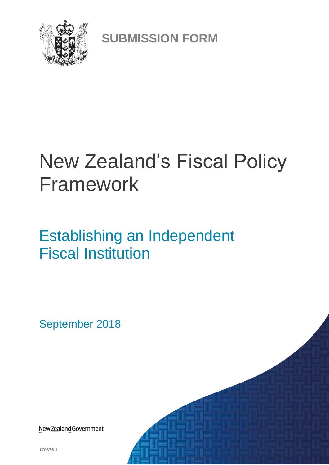

**SUBMISSION FORM**

# New Zealand's Fiscal Policy Framework

## Establishing an Independent Fiscal Institution

September 2018

New Zealand Government

170875.1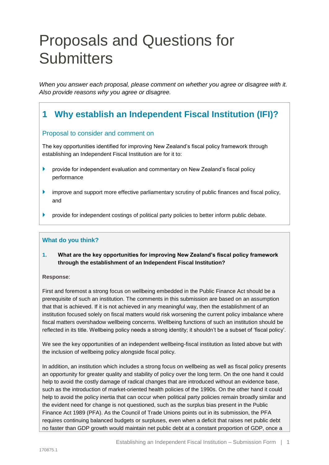## Proposals and Questions for **Submitters**

*When you answer each proposal, please comment on whether you agree or disagree with it. Also provide reasons why you agree or disagree.*

## **1 Why establish an Independent Fiscal Institution (IFI)?**

#### Proposal to consider and comment on

The key opportunities identified for improving New Zealand's fiscal policy framework through establishing an Independent Fiscal Institution are for it to:

- provide for independent evaluation and commentary on New Zealand's fiscal policy performance
- improve and support more effective parliamentary scrutiny of public finances and fiscal policy, and
- **Perovide for independent costings of political party policies to better inform public debate.**

#### **What do you think?**

**1. What are the key opportunities for improving New Zealand's fiscal policy framework through the establishment of an Independent Fiscal Institution?**

#### **Response**:

First and foremost a strong focus on wellbeing embedded in the Public Finance Act should be a prerequisite of such an institution. The comments in this submission are based on an assumption that that is achieved. If it is not achieved in any meaningful way, then the establishment of an institution focused solely on fiscal matters would risk worsening the current policy imbalance where fiscal matters overshadow wellbeing concerns. Wellbeing functions of such an institution should be reflected in its title. Wellbeing policy needs a strong identity; it shouldn't be a subset of 'fiscal policy'.

We see the key opportunities of an independent wellbeing-fiscal institution as listed above but with the inclusion of wellbeing policy alongside fiscal policy.

In addition, an institution which includes a strong focus on wellbeing as well as fiscal policy presents an opportunity for greater quality and stability of policy over the long term. On the one hand it could help to avoid the costly damage of radical changes that are introduced without an evidence base, such as the introduction of market-oriented health policies of the 1990s. On the other hand it could help to avoid the policy inertia that can occur when political party policies remain broadly similar and the evident need for change is not questioned, such as the surplus bias present in the Public Finance Act 1989 (PFA). As the Council of Trade Unions points out in its submission, the PFA requires continuing balanced budgets or surpluses, even when a deficit that raises net public debt no faster than GDP growth would maintain net public debt at a constant proportion of GDP, once a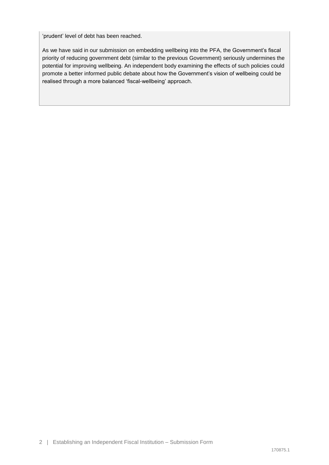'prudent' level of debt has been reached.

As we have said in our submission on embedding wellbeing into the PFA, the Government's fiscal priority of reducing government debt (similar to the previous Government) seriously undermines the potential for improving wellbeing. An independent body examining the effects of such policies could promote a better informed public debate about how the Government's vision of wellbeing could be realised through a more balanced 'fiscal-wellbeing' approach.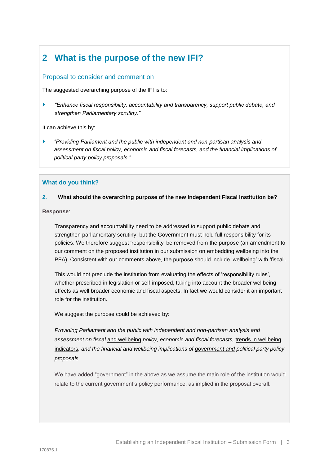## **2 What is the purpose of the new IFI?**

#### Proposal to consider and comment on

The suggested overarching purpose of the IFI is to:

 *"Enhance fiscal responsibility, accountability and transparency, support public debate, and strengthen Parliamentary scrutiny."*

It can achieve this by:

 *"Providing Parliament and the public with independent and non-partisan analysis and assessment on fiscal policy, economic and fiscal forecasts, and the financial implications of political party policy proposals."*

#### **What do you think?**

#### **2. What should the overarching purpose of the new Independent Fiscal Institution be?**

**Response**:

Transparency and accountability need to be addressed to support public debate and strengthen parliamentary scrutiny, but the Government must hold full responsibility for its policies. We therefore suggest 'responsibility' be removed from the purpose (an amendment to our comment on the proposed institution in our submission on embedding wellbeing into the PFA). Consistent with our comments above, the purpose should include 'wellbeing' with 'fiscal'.

This would not preclude the institution from evaluating the effects of 'responsibility rules', whether prescribed in legislation or self-imposed, taking into account the broader wellbeing effects as well broader economic and fiscal aspects. In fact we would consider it an important role for the institution.

We suggest the purpose could be achieved by:

*Providing Parliament and the public with independent and non-partisan analysis and assessment on fiscal* and wellbeing *policy, economic and fiscal forecasts,* trends in wellbeing indicators*, and the financial and wellbeing implications of government and political party policy proposals.*

We have added "government" in the above as we assume the main role of the institution would relate to the current government's policy performance, as implied in the proposal overall.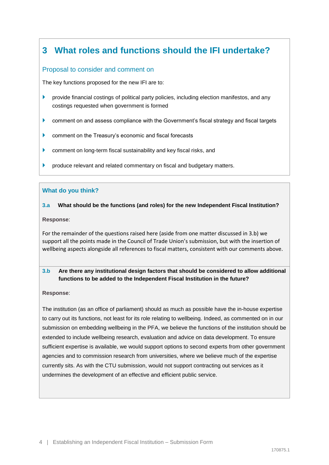## **3 What roles and functions should the IFI undertake?**

#### Proposal to consider and comment on

The key functions proposed for the new IFI are to:

- **P** provide financial costings of political party policies, including election manifestos, and any costings requested when government is formed
- comment on and assess compliance with the Government's fiscal strategy and fiscal targets
- **Comment on the Treasury's economic and fiscal forecasts**
- comment on long-term fiscal sustainability and key fiscal risks, and
- produce relevant and related commentary on fiscal and budgetary matters.

#### **What do you think?**

#### **3.a What should be the functions (and roles) for the new Independent Fiscal Institution?**

**Response**:

For the remainder of the questions raised here (aside from one matter discussed in 3.b) we support all the points made in the Council of Trade Union's submission, but with the insertion of wellbeing aspects alongside all references to fiscal matters, consistent with our comments above.

#### **3.b Are there any institutional design factors that should be considered to allow additional functions to be added to the Independent Fiscal Institution in the future?**

#### **Response**:

The institution (as an office of parliament) should as much as possible have the in-house expertise to carry out its functions, not least for its role relating to wellbeing. Indeed, as commented on in our submission on embedding wellbeing in the PFA, we believe the functions of the institution should be extended to include wellbeing research, evaluation and advice on data development. To ensure sufficient expertise is available, we would support options to second experts from other government agencies and to commission research from universities, where we believe much of the expertise currently sits. As with the CTU submission, would not support contracting out services as it undermines the development of an effective and efficient public service.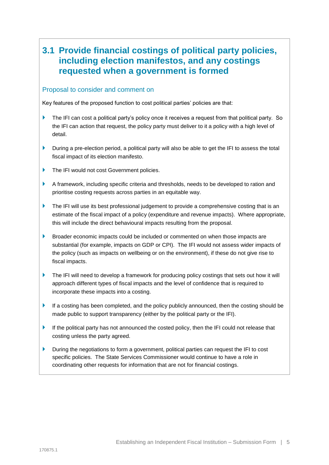### **3.1 Provide financial costings of political party policies, including election manifestos, and any costings requested when a government is formed**

#### Proposal to consider and comment on

Key features of the proposed function to cost political parties' policies are that:

- The IFI can cost a political party's policy once it receives a request from that political party. So the IFI can action that request, the policy party must deliver to it a policy with a high level of detail.
- During a pre-election period, a political party will also be able to get the IFI to assess the total fiscal impact of its election manifesto.
- The IFI would not cost Government policies.
- A framework, including specific criteria and thresholds, needs to be developed to ration and prioritise costing requests across parties in an equitable way.
- $\blacktriangleright$  The IFI will use its best professional judgement to provide a comprehensive costing that is an estimate of the fiscal impact of a policy (expenditure and revenue impacts). Where appropriate, this will include the direct behavioural impacts resulting from the proposal.
- Broader economic impacts could be included or commented on when those impacts are substantial (for example, impacts on GDP or CPI). The IFI would not assess wider impacts of the policy (such as impacts on wellbeing or on the environment), if these do not give rise to fiscal impacts.
- The IFI will need to develop a framework for producing policy costings that sets out how it will approach different types of fiscal impacts and the level of confidence that is required to incorporate these impacts into a costing.
- If a costing has been completed, and the policy publicly announced, then the costing should be made public to support transparency (either by the political party or the IFI).
- If the political party has not announced the costed policy, then the IFI could not release that costing unless the party agreed.
- During the negotiations to form a government, political parties can request the IFI to cost specific policies. The State Services Commissioner would continue to have a role in coordinating other requests for information that are not for financial costings.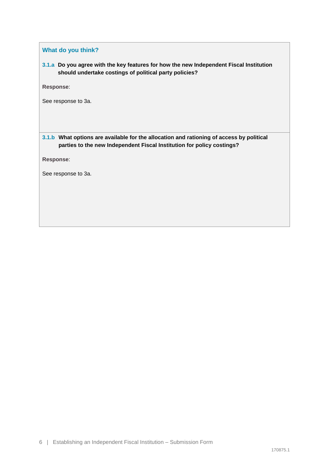**What do you think?**

**3.1.a Do you agree with the key features for how the new Independent Fiscal Institution should undertake costings of political party policies?**

**Response**:

See response to 3a.

**3.1.b What options are available for the allocation and rationing of access by political parties to the new Independent Fiscal Institution for policy costings?**

**Response**: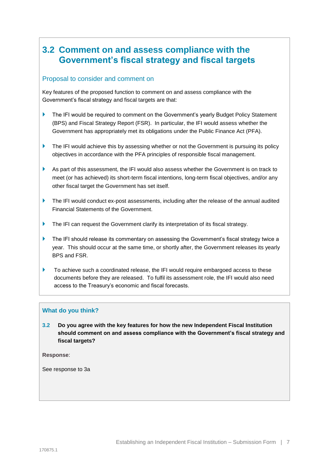## **3.2 Comment on and assess compliance with the Government's fiscal strategy and fiscal targets**

#### Proposal to consider and comment on

Key features of the proposed function to comment on and assess compliance with the Government's fiscal strategy and fiscal targets are that:

- The IFI would be required to comment on the Government's yearly Budget Policy Statement (BPS) and Fiscal Strategy Report (FSR). In particular, the IFI would assess whether the Government has appropriately met its obligations under the Public Finance Act (PFA).
- The IFI would achieve this by assessing whether or not the Government is pursuing its policy objectives in accordance with the PFA principles of responsible fiscal management.
- As part of this assessment, the IFI would also assess whether the Government is on track to meet (or has achieved) its short-term fiscal intentions, long-term fiscal objectives, and/or any other fiscal target the Government has set itself.
- The IFI would conduct ex-post assessments, including after the release of the annual audited Financial Statements of the Government.
- The IFI can request the Government clarify its interpretation of its fiscal strategy.
- The IFI should release its commentary on assessing the Government's fiscal strategy twice a year. This should occur at the same time, or shortly after, the Government releases its yearly BPS and FSR.
- ▶ To achieve such a coordinated release, the IFI would require embargoed access to these documents before they are released. To fulfil its assessment role, the IFI would also need access to the Treasury's economic and fiscal forecasts.

#### **What do you think?**

**3.2 Do you agree with the key features for how the new Independent Fiscal Institution should comment on and assess compliance with the Government's fiscal strategy and fiscal targets?**

**Response**: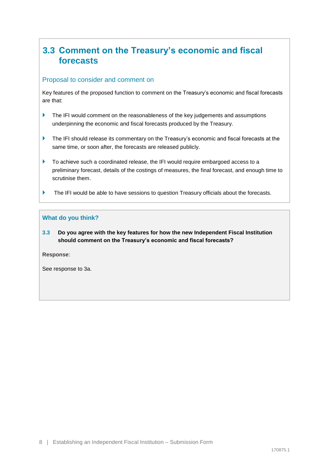## **3.3 Comment on the Treasury's economic and fiscal forecasts**

#### Proposal to consider and comment on

Key features of the proposed function to comment on the Treasury's economic and fiscal forecasts are that:

- The IFI would comment on the reasonableness of the key judgements and assumptions underpinning the economic and fiscal forecasts produced by the Treasury.
- The IFI should release its commentary on the Treasury's economic and fiscal forecasts at the same time, or soon after, the forecasts are released publicly.
- To achieve such a coordinated release, the IFI would require embargoed access to a preliminary forecast, details of the costings of measures, the final forecast, and enough time to scrutinise them.
- The IFI would be able to have sessions to question Treasury officials about the forecasts.

#### **What do you think?**

**3.3 Do you agree with the key features for how the new Independent Fiscal Institution should comment on the Treasury's economic and fiscal forecasts?**

**Response**: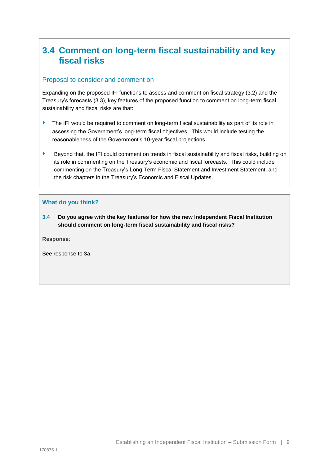## **3.4 Comment on long-term fiscal sustainability and key fiscal risks**

#### Proposal to consider and comment on

Expanding on the proposed IFI functions to assess and comment on fiscal strategy (3.2) and the Treasury's forecasts (3.3), key features of the proposed function to comment on long-term fiscal sustainability and fiscal risks are that:

- The IFI would be required to comment on long-term fiscal sustainability as part of its role in assessing the Government's long-term fiscal objectives. This would include testing the reasonableness of the Government's 10-year fiscal projections.
- Beyond that, the IFI could comment on trends in fiscal sustainability and fiscal risks, building on its role in commenting on the Treasury's economic and fiscal forecasts. This could include commenting on the Treasury's Long Term Fiscal Statement and Investment Statement, and the risk chapters in the Treasury's Economic and Fiscal Updates.

#### **What do you think?**

**3.4 Do you agree with the key features for how the new Independent Fiscal Institution should comment on long-term fiscal sustainability and fiscal risks?**

**Response**: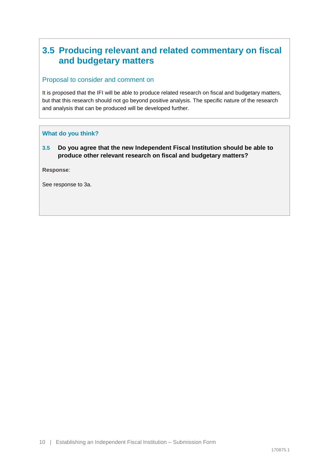## **3.5 Producing relevant and related commentary on fiscal and budgetary matters**

#### Proposal to consider and comment on

It is proposed that the IFI will be able to produce related research on fiscal and budgetary matters, but that this research should not go beyond positive analysis. The specific nature of the research and analysis that can be produced will be developed further.

#### **What do you think?**

**3.5 Do you agree that the new Independent Fiscal Institution should be able to produce other relevant research on fiscal and budgetary matters?**

**Response**: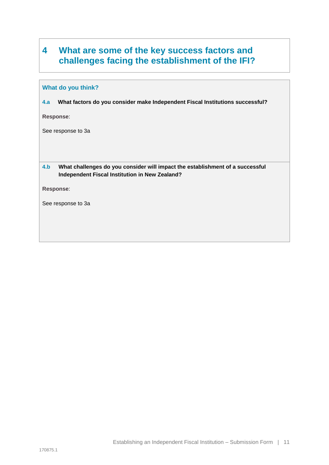## **4 What are some of the key success factors and challenges facing the establishment of the IFI?**

#### **What do you think?**

**4.a What factors do you consider make Independent Fiscal Institutions successful?**

**Response**:

See response to 3a

#### **4.b What challenges do you consider will impact the establishment of a successful Independent Fiscal Institution in New Zealand?**

**Response**: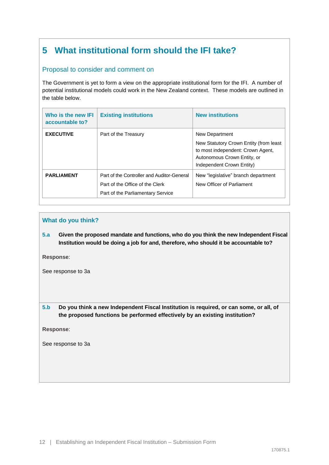## **5 What institutional form should the IFI take?**

#### Proposal to consider and comment on

The Government is yet to form a view on the appropriate institutional form for the IFI. A number of potential institutional models could work in the New Zealand context. These models are outlined in the table below.

| Who is the new IFI<br>accountable to? | <b>Existing institutions</b>                                                                                       | <b>New institutions</b>                                                                                                                                   |
|---------------------------------------|--------------------------------------------------------------------------------------------------------------------|-----------------------------------------------------------------------------------------------------------------------------------------------------------|
| <b>EXECUTIVE</b>                      | Part of the Treasury                                                                                               | New Department<br>New Statutory Crown Entity (from least<br>to most independent: Crown Agent,<br>Autonomous Crown Entity, or<br>Independent Crown Entity) |
| <b>PARLIAMENT</b>                     | Part of the Controller and Auditor-General<br>Part of the Office of the Clerk<br>Part of the Parliamentary Service | New "legislative" branch department<br>New Officer of Parliament                                                                                          |

#### **What do you think?**

**5.a Given the proposed mandate and functions, who do you think the new Independent Fiscal Institution would be doing a job for and, therefore, who should it be accountable to?**

**Response**:

See response to 3a

**5.b Do you think a new Independent Fiscal Institution is required, or can some, or all, of the proposed functions be performed effectively by an existing institution?**

**Response**: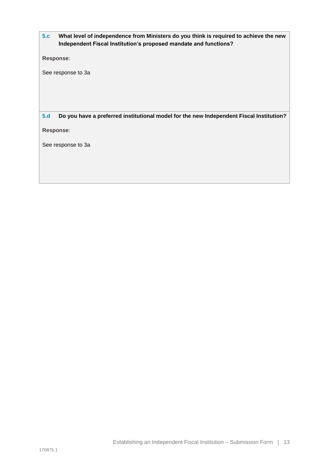**5.c What level of independence from Ministers do you think is required to achieve the new Independent Fiscal Institution's proposed mandate and functions?**

**Response**:

See response to 3a

**5.d Do you have a preferred institutional model for the new Independent Fiscal Institution?**

**Response**: